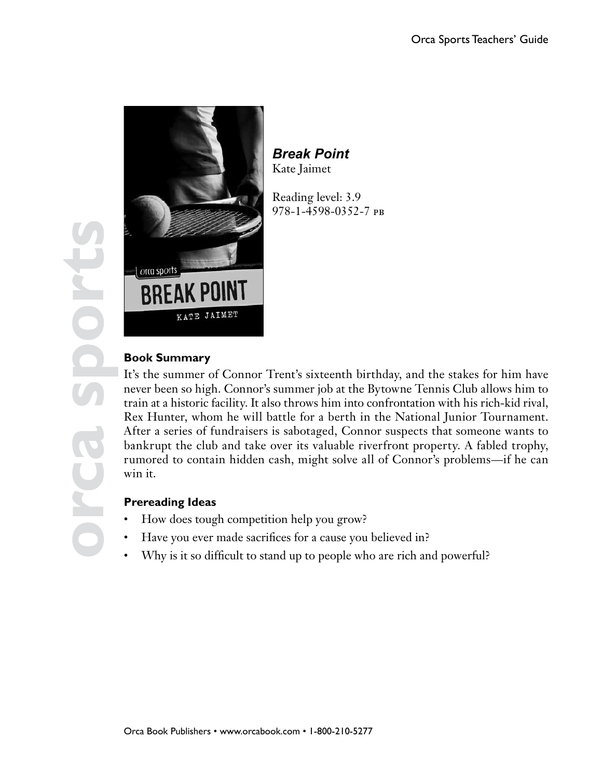

*Break Point* Kate Jaimet

Reading level: 3.9 978-1-4598-0352-7 pb

# **Book Summary**

It's the summer of Connor Trent's sixteenth birthday, and the stakes for him have never been so high. Connor's summer job at the Bytowne Tennis Club allows him to train at a historic facility. It also throws him into confrontation with his rich-kid rival, Rex Hunter, whom he will battle for a berth in the National Junior Tournament. After a series of fundraisers is sabotaged, Connor suspects that someone wants to bankrupt the club and take over its valuable riverfront property. A fabled trophy, rumored to contain hidden cash, might solve all of Connor's problems—if he can win it.

### **Prereading Ideas**

- How does tough competition help you grow?
- Have you ever made sacrifices for a cause you believed in?
- Why is it so difficult to stand up to people who are rich and powerful?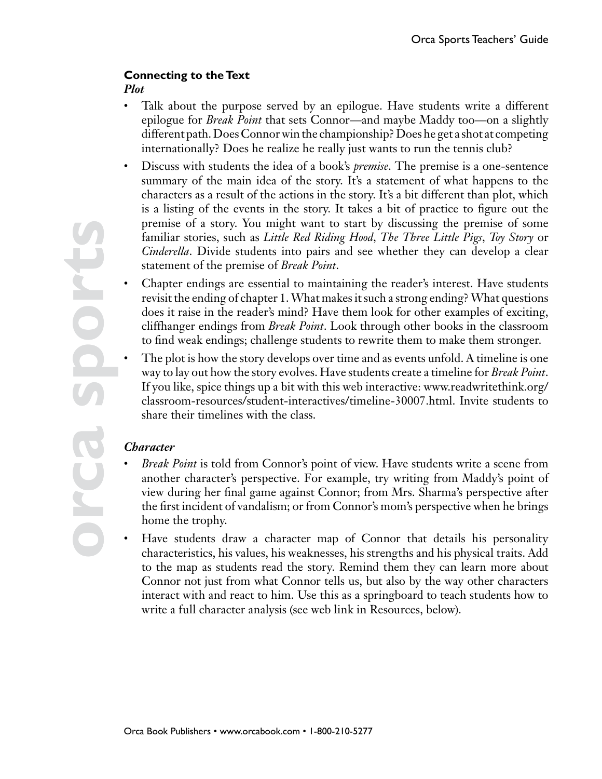### **Connecting to the Text**

#### *Plot*

- Talk about the purpose served by an epilogue. Have students write a different epilogue for *Break Point* that sets Connor—and maybe Maddy too—on a slightly different path. Does Connor win the championship? Does he get a shot at competing internationally? Does he realize he really just wants to run the tennis club?
- Discuss with students the idea of a book's *premise*. The premise is a one-sentence summary of the main idea of the story. It's a statement of what happens to the characters as a result of the actions in the story. It's a bit different than plot, which is a listing of the events in the story. It takes a bit of practice to figure out the premise of a story. You might want to start by discussing the premise of some familiar stories, such as *Little Red Riding Hood*, *The Three Little Pigs*, *Toy Story* or *Cinderella*. Divide students into pairs and see whether they can develop a clear statement of the premise of *Break Point*.
- Chapter endings are essential to maintaining the reader's interest. Have students revisit the ending of chapter 1. What makes it such a strong ending? What questions does it raise in the reader's mind? Have them look for other examples of exciting, cliffhanger endings from *Break Point*. Look through other books in the classroom to find weak endings; challenge students to rewrite them to make them stronger.
- The plot is how the story develops over time and as events unfold. A timeline is one way to lay out how the story evolves. Have students create a timeline for *Break Point*. If you like, spice things up a bit with this web interactive: www.readwritethink.org/ classroom-resources/student-interactives/timeline-30007.html. Invite students to share their timelines with the class.

### *Character*

- *Break Point* is told from Connor's point of view. Have students write a scene from another character's perspective. For example, try writing from Maddy's point of view during her final game against Connor; from Mrs. Sharma's perspective after the first incident of vandalism; or from Connor's mom's perspective when he brings home the trophy.
- Have students draw a character map of Connor that details his personality characteristics, his values, his weaknesses, his strengths and his physical traits. Add to the map as students read the story. Remind them they can learn more about Connor not just from what Connor tells us, but also by the way other characters interact with and react to him. Use this as a springboard to teach students how to write a full character analysis (see web link in Resources, below).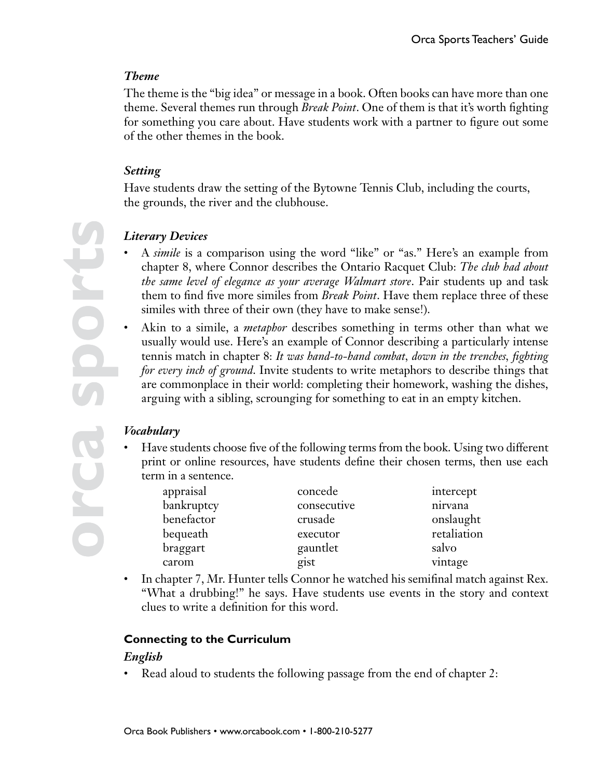### *Theme*

The theme is the "big idea" or message in a book. Often books can have more than one theme. Several themes run through *Break Point*. One of them is that it's worth fighting for something you care about. Have students work with a partner to figure out some of the other themes in the book.

### *Setting*

Have students draw the setting of the Bytowne Tennis Club, including the courts, the grounds, the river and the clubhouse.

# *Literary Devices*

- A *simile* is a comparison using the word "like" or "as." Here's an example from chapter 8, where Connor describes the Ontario Racquet Club: *The club had about the same level of elegance as your average Walmart store*. Pair students up and task them to find five more similes from *Break Point*. Have them replace three of these similes with three of their own (they have to make sense!).
- Akin to a simile, a *metaphor* describes something in terms other than what we usually would use. Here's an example of Connor describing a particularly intense tennis match in chapter 8: *It was hand-to-hand combat, down in the trenches, fighting for every inch of ground*. Invite students to write metaphors to describe things that are commonplace in their world: completing their homework, washing the dishes, arguing with a sibling, scrounging for something to eat in an empty kitchen.

### *Vocabulary*

• Have students choose five of the following terms from the book. Using two different print or online resources, have students define their chosen terms, then use each term in a sentence.

| appraisal  | concede     | intercept   |
|------------|-------------|-------------|
| bankruptcy | consecutive | nirvana     |
| benefactor | crusade     | onslaught   |
| bequeath   | executor    | retaliation |
| braggart   | gauntlet    | salvo       |
| carom      | gist        | vintage     |

• In chapter 7, Mr. Hunter tells Connor he watched his semifinal match against Rex. "What a drubbing!" he says. Have students use events in the story and context clues to write a definition for this word.

### **Connecting to the Curriculum**

### *English*

• Read aloud to students the following passage from the end of chapter 2: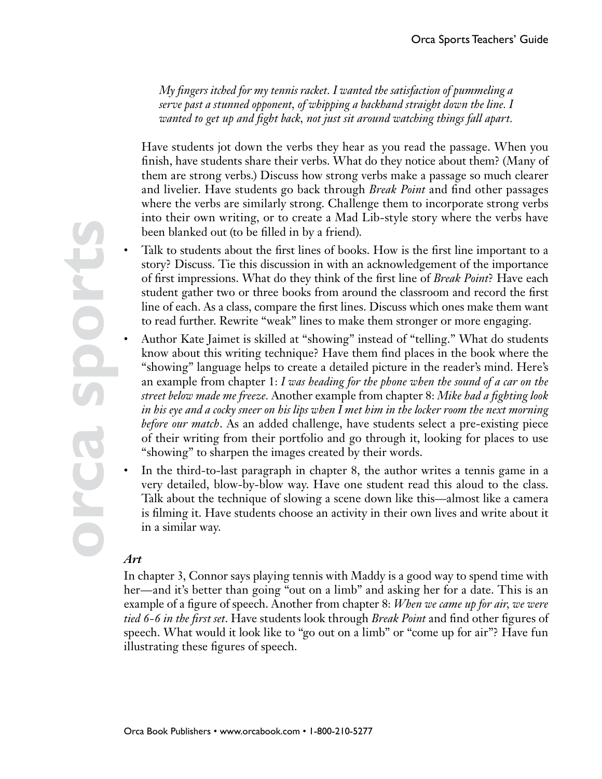*My fingers itched for my tennis racket. I wanted the satisfaction of pummeling a serve past a stunned opponent, of whipping a backhand straight down the line. I wanted to get up and fight back, not just sit around watching things fall apart.*

Have students jot down the verbs they hear as you read the passage. When you finish, have students share their verbs. What do they notice about them? (Many of them are strong verbs.) Discuss how strong verbs make a passage so much clearer and livelier. Have students go back through *Break Point* and find other passages where the verbs are similarly strong. Challenge them to incorporate strong verbs into their own writing, or to create a Mad Lib-style story where the verbs have been blanked out (to be filled in by a friend).

- Talk to students about the first lines of books. How is the first line important to a story? Discuss. Tie this discussion in with an acknowledgement of the importance of first impressions. What do they think of the first line of *Break Point*? Have each student gather two or three books from around the classroom and record the first line of each. As a class, compare the first lines. Discuss which ones make them want to read further. Rewrite "weak" lines to make them stronger or more engaging.
- Author Kate Jaimet is skilled at "showing" instead of "telling." What do students know about this writing technique? Have them find places in the book where the "showing" language helps to create a detailed picture in the reader's mind. Here's an example from chapter 1: *I was heading for the phone when the sound of a car on the street below made me freeze.* Another example from chapter 8: *Mike had a fighting look in his eye and a cocky sneer on his lips when I met him in the locker room the next morning before our match*. As an added challenge, have students select a pre-existing piece of their writing from their portfolio and go through it, looking for places to use "showing" to sharpen the images created by their words.
- In the third-to-last paragraph in chapter 8, the author writes a tennis game in a very detailed, blow-by-blow way. Have one student read this aloud to the class. Talk about the technique of slowing a scene down like this—almost like a camera is filming it. Have students choose an activity in their own lives and write about it in a similar way.

### *Art*

In chapter 3, Connor says playing tennis with Maddy is a good way to spend time with her—and it's better than going "out on a limb" and asking her for a date. This is an example of a figure of speech. Another from chapter 8: *When we came up for air, we were tied 6-6 in the first set*. Have students look through *Break Point* and find other figures of speech. What would it look like to "go out on a limb" or "come up for air"? Have fun illustrating these figures of speech.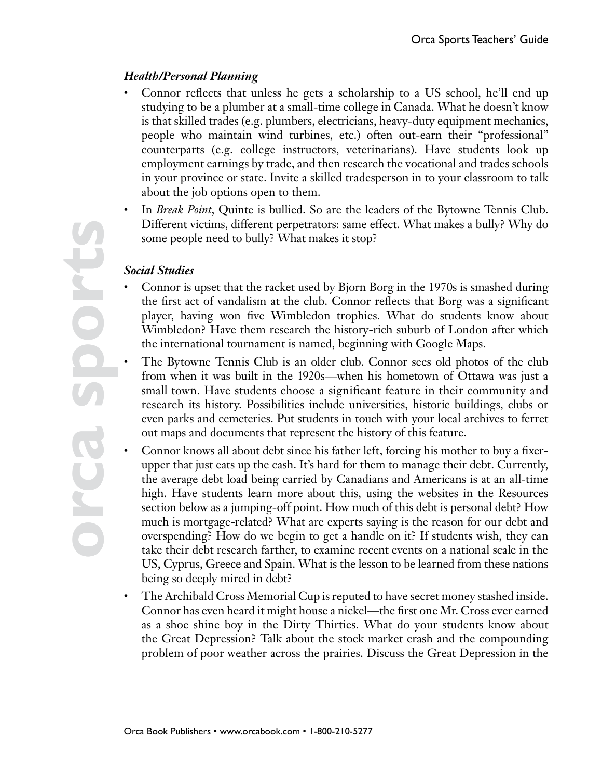### *Health/Personal Planning*

- Connor reflects that unless he gets a scholarship to a US school, he'll end up studying to be a plumber at a small-time college in Canada. What he doesn't know is that skilled trades (e.g. plumbers, electricians, heavy-duty equipment mechanics, people who maintain wind turbines, etc.) often out-earn their "professional" counterparts (e.g. college instructors, veterinarians). Have students look up employment earnings by trade, and then research the vocational and trades schools in your province or state. Invite a skilled tradesperson in to your classroom to talk about the job options open to them.
- In *Break Point*, Quinte is bullied. So are the leaders of the Bytowne Tennis Club. Different victims, different perpetrators: same effect. What makes a bully? Why do some people need to bully? What makes it stop?

#### *Social Studies*

- Connor is upset that the racket used by Bjorn Borg in the 1970s is smashed during the first act of vandalism at the club. Connor reflects that Borg was a significant player, having won five Wimbledon trophies. What do students know about Wimbledon? Have them research the history-rich suburb of London after which the international tournament is named, beginning with Google Maps.
- The Bytowne Tennis Club is an older club. Connor sees old photos of the club from when it was built in the 1920s—when his hometown of Ottawa was just a small town. Have students choose a significant feature in their community and research its history. Possibilities include universities, historic buildings, clubs or even parks and cemeteries. Put students in touch with your local archives to ferret out maps and documents that represent the history of this feature.
- Connor knows all about debt since his father left, forcing his mother to buy a fixerupper that just eats up the cash. It's hard for them to manage their debt. Currently, the average debt load being carried by Canadians and Americans is at an all-time high. Have students learn more about this, using the websites in the Resources section below as a jumping-off point. How much of this debt is personal debt? How much is mortgage-related? What are experts saying is the reason for our debt and overspending? How do we begin to get a handle on it? If students wish, they can take their debt research farther, to examine recent events on a national scale in the US, Cyprus, Greece and Spain. What is the lesson to be learned from these nations being so deeply mired in debt?
- The Archibald Cross Memorial Cup is reputed to have secret money stashed inside. Connor has even heard it might house a nickel—the first one Mr. Cross ever earned as a shoe shine boy in the Dirty Thirties. What do your students know about the Great Depression? Talk about the stock market crash and the compounding problem of poor weather across the prairies. Discuss the Great Depression in the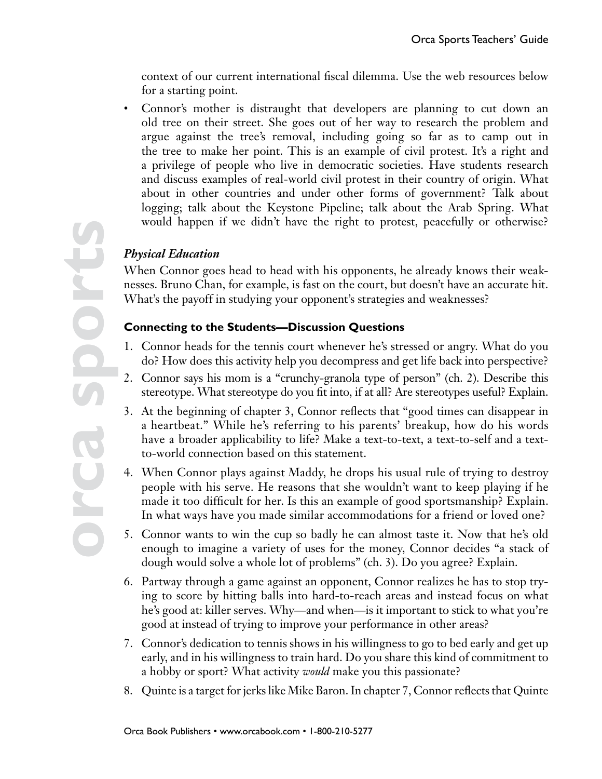context of our current international fiscal dilemma. Use the web resources below for a starting point.

• Connor's mother is distraught that developers are planning to cut down an old tree on their street. She goes out of her way to research the problem and argue against the tree's removal, including going so far as to camp out in the tree to make her point. This is an example of civil protest. It's a right and a privilege of people who live in democratic societies. Have students research and discuss examples of real-world civil protest in their country of origin. What about in other countries and under other forms of government? Talk about logging; talk about the Keystone Pipeline; talk about the Arab Spring. What would happen if we didn't have the right to protest, peacefully or otherwise?

## *Physical Education*

When Connor goes head to head with his opponents, he already knows their weaknesses. Bruno Chan, for example, is fast on the court, but doesn't have an accurate hit. What's the payoff in studying your opponent's strategies and weaknesses?

### **Connecting to the Students—Discussion Questions**

- 1. Connor heads for the tennis court whenever he's stressed or angry. What do you do? How does this activity help you decompress and get life back into perspective?
- 2. Connor says his mom is a "crunchy-granola type of person" (ch. 2). Describe this stereotype. What stereotype do you fit into, if at all? Are stereotypes useful? Explain.
- 3. At the beginning of chapter 3, Connor reflects that "good times can disappear in a heartbeat." While he's referring to his parents' breakup, how do his words have a broader applicability to life? Make a text-to-text, a text-to-self and a textto-world connection based on this statement.
- 4. When Connor plays against Maddy, he drops his usual rule of trying to destroy people with his serve. He reasons that she wouldn't want to keep playing if he made it too difficult for her. Is this an example of good sportsmanship? Explain. In what ways have you made similar accommodations for a friend or loved one?
- 5. Connor wants to win the cup so badly he can almost taste it. Now that he's old enough to imagine a variety of uses for the money, Connor decides "a stack of dough would solve a whole lot of problems" (ch. 3). Do you agree? Explain.
- 6. Partway through a game against an opponent, Connor realizes he has to stop trying to score by hitting balls into hard-to-reach areas and instead focus on what he's good at: killer serves. Why—and when—is it important to stick to what you're good at instead of trying to improve your performance in other areas?
- 7. Connor's dedication to tennis shows in his willingness to go to bed early and get up early, and in his willingness to train hard. Do you share this kind of commitment to a hobby or sport? What activity *would* make you this passionate?
- 8. Quinte is a target for jerks like Mike Baron. In chapter 7, Connor reflects that Quinte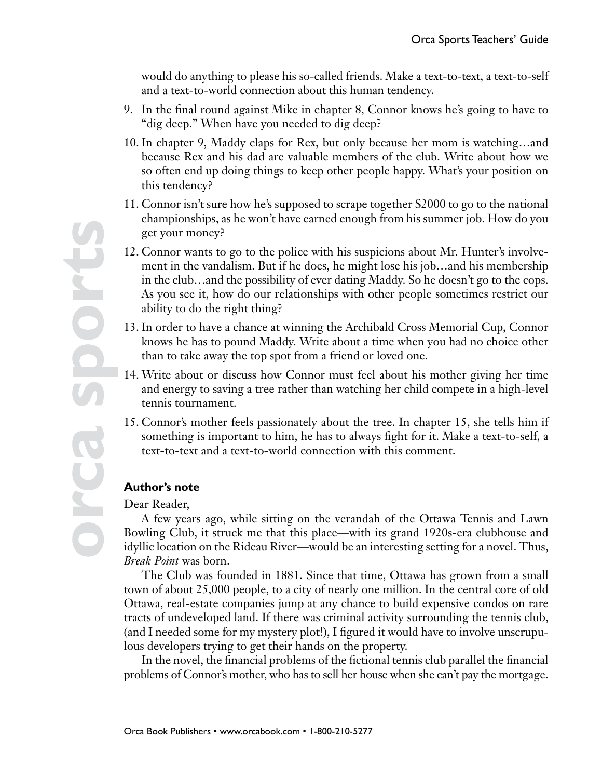would do anything to please his so-called friends. Make a text-to-text, a text-to-self and a text-to-world connection about this human tendency.

- 9. In the final round against Mike in chapter 8, Connor knows he's going to have to "dig deep." When have you needed to dig deep?
- 10. In chapter 9, Maddy claps for Rex, but only because her mom is watching…and because Rex and his dad are valuable members of the club. Write about how we so often end up doing things to keep other people happy. What's your position on this tendency?
- 11. Connor isn't sure how he's supposed to scrape together \$2000 to go to the national championships, as he won't have earned enough from his summer job. How do you get your money?
- 12. Connor wants to go to the police with his suspicions about Mr. Hunter's involvement in the vandalism. But if he does, he might lose his job…and his membership in the club…and the possibility of ever dating Maddy. So he doesn't go to the cops. As you see it, how do our relationships with other people sometimes restrict our ability to do the right thing?
- 13. In order to have a chance at winning the Archibald Cross Memorial Cup, Connor knows he has to pound Maddy. Write about a time when you had no choice other than to take away the top spot from a friend or loved one.
- 14. Write about or discuss how Connor must feel about his mother giving her time and energy to saving a tree rather than watching her child compete in a high-level tennis tournament.
- 15. Connor's mother feels passionately about the tree. In chapter 15, she tells him if something is important to him, he has to always fight for it. Make a text-to-self, a text-to-text and a text-to-world connection with this comment.

#### **Author's note**

Dear Reader,

A few years ago, while sitting on the verandah of the Ottawa Tennis and Lawn Bowling Club, it struck me that this place—with its grand 1920s-era clubhouse and idyllic location on the Rideau River—would be an interesting setting for a novel. Thus, *Break Point* was born.

The Club was founded in 1881. Since that time, Ottawa has grown from a small town of about 25,000 people, to a city of nearly one million. In the central core of old Ottawa, real-estate companies jump at any chance to build expensive condos on rare tracts of undeveloped land. If there was criminal activity surrounding the tennis club, (and I needed some for my mystery plot!), I figured it would have to involve unscrupulous developers trying to get their hands on the property.

In the novel, the financial problems of the fictional tennis club parallel the financial problems of Connor's mother, who has to sell her house when she can't pay the mortgage.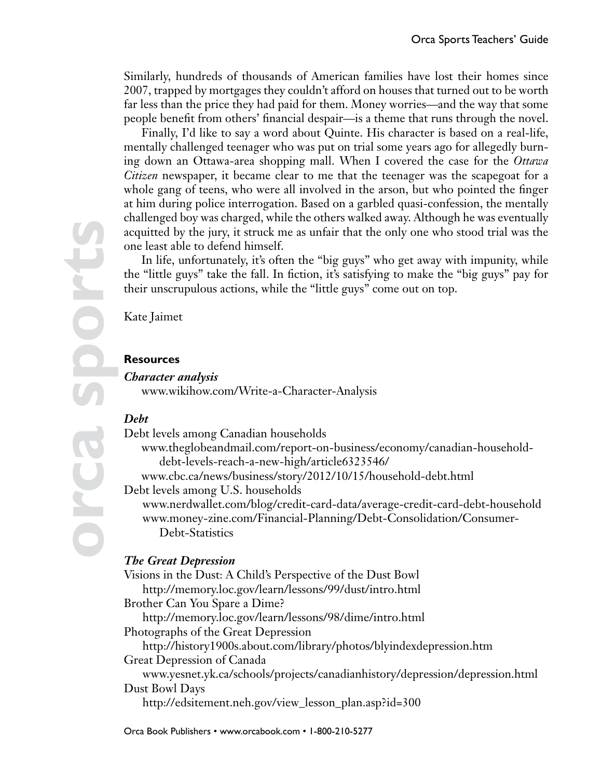Similarly, hundreds of thousands of American families have lost their homes since 2007, trapped by mortgages they couldn't afford on houses that turned out to be worth far less than the price they had paid for them. Money worries—and the way that some people benefit from others' financial despair—is a theme that runs through the novel.

Finally, I'd like to say a word about Quinte. His character is based on a real-life, mentally challenged teenager who was put on trial some years ago for allegedly burning down an Ottawa-area shopping mall. When I covered the case for the *Ottawa Citizen* newspaper, it became clear to me that the teenager was the scapegoat for a whole gang of teens, who were all involved in the arson, but who pointed the finger at him during police interrogation. Based on a garbled quasi-confession, the mentally challenged boy was charged, while the others walked away. Although he was eventually acquitted by the jury, it struck me as unfair that the only one who stood trial was the one least able to defend himself.

In life, unfortunately, it's often the "big guys" who get away with impunity, while the "little guys" take the fall. In fiction, it's satisfying to make the "big guys" pay for their unscrupulous actions, while the "little guys" come out on top.

Kate Jaimet

Sports

#### **Resources**

*Character analysis* www.wikihow.com/Write-a-Character-Analysis

#### *Debt*

Debt levels among Canadian households

www.theglobeandmail.com/report-on-business/economy/canadian-householddebt-levels-reach-a-new-high/article6323546/

www.cbc.ca/news/business/story/2012/10/15/household-debt.html

Debt levels among U.S. households

www.nerdwallet.com/blog/credit-card-data/average-credit-card-debt-household www.money-zine.com/Financial-Planning/Debt-Consolidation/Consumer- Debt-Statistics

### *The Great Depression*

Visions in the Dust: A Child's Perspective of the Dust Bowl http://memory.loc.gov/learn/lessons/99/dust/intro.html Brother Can You Spare a Dime? http://memory.loc.gov/learn/lessons/98/dime/intro.html Photographs of the Great Depression http://history1900s.about.com/library/photos/blyindexdepression.htm Great Depression of Canada www.yesnet.yk.ca/schools/projects/canadianhistory/depression/depression.html Dust Bowl Days http://edsitement.neh.gov/view\_lesson\_plan.asp?id=300